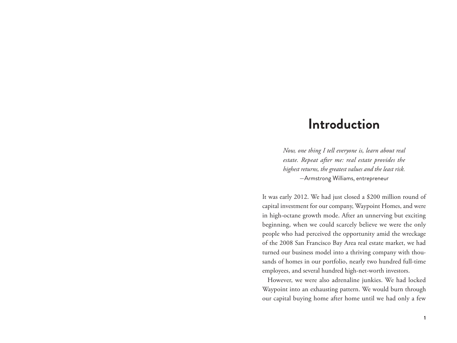# **Introduction**

*Now, one thing I tell everyone is, learn about real estate. Repeat after me: real estate provides the highest returns, the greatest values and the least risk.* —Armstrong Williams, entrepreneur

It was early 2012. We had just closed a \$200 million round of capital investment for our company, Waypoint Homes, and were in high-octane growth mode. After an unnerving but exciting beginning, when we could scarcely believe we were the only people who had perceived the opportunity amid the wreckage of the 2008 San Francisco Bay Area real estate market, we had turned our business model into a thriving company with thousands of homes in our portfolio, nearly two hundred full-time employees, and several hundred high-net-worth investors.

However, we were also adrenaline junkies. We had locked Waypoint into an exhausting pattern. We would burn through our capital buying home after home until we had only a few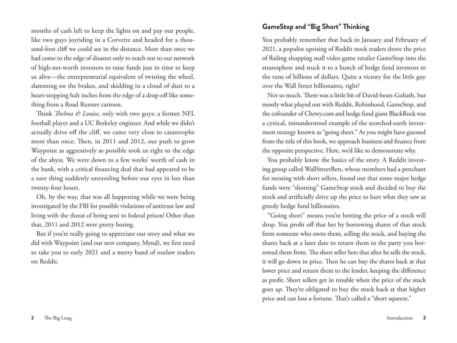months of cash left to keep the lights on and pay our people, like two guys joyriding in a Corvette and headed for a thousand-foot cliff we could see in the distance. More than once we had come to the edge of disaster only to reach out to our network of high-net-worth investors to raise funds just in time to keep us alive—the entrepreneurial equivalent of twisting the wheel, slamming on the brakes, and skidding in a cloud of dust to a heart-stopping halt inches from the edge of a drop-off like something from a Road Runner cartoon.

Think *Thelma & Louise*, only with two guys: a former NFL football player and a UC Berkeley engineer. And while we didn't actually drive off the cliff, we came very close to catastrophe more than once. Then, in 2011 and 2012, our push to grow Waypoint as aggressively as possible took us right to the edge of the abyss. We were down to a few weeks' worth of cash in the bank, with a critical financing deal that had appeared to be a sure thing suddenly unraveling before our eyes in less than twenty-four hours.

Oh, by the way, that was all happening while we were being investigated by the FBI for possible violations of antitrust law and living with the threat of being sent to federal prison! Other than that, 2011 and 2012 were pretty boring.

But if you're really going to appreciate our story and what we did with Waypoint (and our new company, Mynd), we first need to take you to early 2021 and a merry band of outlaw traders on Reddit.

### **GameStop and "Big Short" Thinking**

You probably remember that back in January and February of 2021, a populist uprising of Reddit stock traders drove the price of flailing shopping mall video game retailer GameStop into the stratosphere and stuck it to a bunch of hedge fund investors to the tune of billions of dollars. Quite a victory for the little guy over the Wall Street billionaires, right?

Not so much. There was a little bit of David-beats-Goliath, but mostly what played out with Reddit, Robinhood, GameStop, and the cofounder of Chewy.com and hedge fund giant BlackRock was a cynical, misunderstood example of the scorched-earth investment strategy known as "going short." As you might have guessed from the title of this book, we approach business and finance from the opposite perspective. Here, we'd like to demonstrate why.

You probably know the basics of the story. A Reddit investing group called WallStreetBets, whose members had a penchant for messing with short sellers, found out that some major hedge funds were "shorting" GameStop stock and decided to buy the stock and artificially drive up the price to hurt what they saw as greedy hedge fund billionaires.

"Going short" means you're betting the price of a stock will drop. You profit off that bet by borrowing shares of that stock from someone who owns them, selling the stock, and buying the shares back at a later date to return them to the party you borrowed them from. The short seller bets that after he sells the stock, it will go down in price. Then he can buy the shares back at that lower price and return them to the lender, keeping the difference as profit. Short sellers get in trouble when the price of the stock goes *up*. They're obligated to buy the stock back at that higher price and can lose a fortune. That's called a "short squeeze."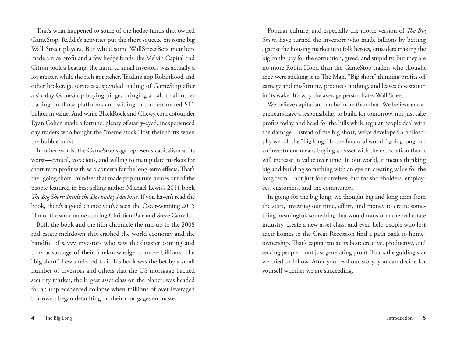That's what happened to some of the hedge funds that owned GameStop. Reddit's activities put the short squeeze on some big Wall Street players. But while some WallStreetBets members made a nice profit and a few hedge funds like Melvin Capital and Citron took a beating, the harm to small investors was actually a lot greater, while the rich got richer. Trading app Robinhood and other brokerage services suspended trading of GameStop after a six-day GameStop buying binge, bringing a halt to all other trading on those platforms and wiping out an estimated \$11 billion in value. And while BlackRock and Chewy.com cofounder Ryan Cohen made a fortune, plenty of starry-eyed, inexperienced day traders who bought the "meme stock" lost their shirts when the bubble burst.

In other words, the GameStop saga represents capitalism at its worst—cynical, voracious, and willing to manipulate markets for short-term profit with zero concern for the long-term effects. That's the "going short" mindset that made pop culture heroes out of the people featured in best-selling author Michael Lewis's 2011 book *!e Big Short: Inside the Doomsday Machine*. If you haven't read the book, there's a good chance you've seen the Oscar-winning 2015 film of the same name starring Christian Bale and Steve Carrell.

Both the book and the film chronicle the run-up to the 2008 real estate meltdown that crashed the world economy and the handful of savvy investors who saw the disaster coming and took advantage of their foreknowledge to make billions. The "big short" Lewis referred to in his book was the bet by a small number of investors and others that the US mortgage-backed security market, the largest asset class on the planet, was headed for an unprecedented collapse when millions of over-leveraged borrowers began defaulting on their mortgages en masse.

Popular culture, and especially the movie version of *The Big Short*, have turned the investors who made billions by betting against the housing market into folk heroes, crusaders making the big banks pay for the corruption, greed, and stupidity. But they are no more Robin Hood than the GameStop traders who thought they were sticking it to The Man. "Big short" thinking profits off carnage and misfortune, produces nothing, and leaves devastation in its wake. It's why the average person hates Wall Street.

We believe capitalism can be more than that. We believe entrepreneurs have a responsibility to build for tomorrow, not just take profits today and head for the hills while regular people deal with the damage. Instead of the big short, we've developed a philosophy we call the "big long." In the financial world, "going long" on an investment means buying an asset with the expectation that it will increase in value over time. In our world, it means thinking big and building something with an eye on creating value for the long term—not just for ourselves, but for shareholders, employees, customers, and the community.

In going for the big long, we thought big and long term from the start, investing our time, effort, and money to create something meaningful, something that would transform the real estate industry, create a new asset class, and even help people who lost their homes to the Great Recession find a path back to homeownership. That's capitalism at its best: creative, productive, and serving people—not just generating profit. That's the guiding star we tried to follow. After you read our story, you can decide for yourself whether we are succeeding.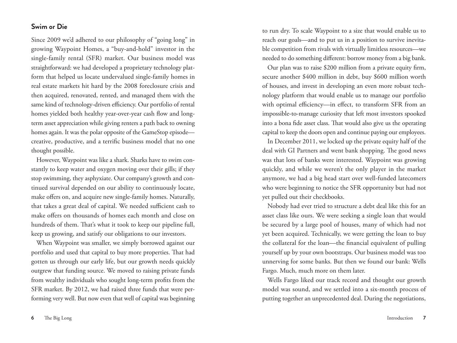#### **Swim or Die**

Since 2009 we'd adhered to our philosophy of "going long" in growing Waypoint Homes, a "buy-and-hold" investor in the single-family rental (SFR) market. Our business model was straightforward: we had developed a proprietary technology platform that helped us locate undervalued single-family homes in real estate markets hit hard by the 2008 foreclosure crisis and then acquired, renovated, rented, and managed them with the same kind of technology-driven efficiency. Our portfolio of rental homes yielded both healthy year-over-year cash flow and longterm asset appreciation while giving renters a path back to owning homes again. It was the polar opposite of the GameStop episode creative, productive, and a terrific business model that no one thought possible.

However, Waypoint was like a shark. Sharks have to swim constantly to keep water and oxygen moving over their gills; if they stop swimming, they asphyxiate. Our company's growth and continued survival depended on our ability to continuously locate, make offers on, and acquire new single-family homes. Naturally, that takes a great deal of capital. We needed sufficient cash to make offers on thousands of homes each month and close on hundreds of them. That's what it took to keep our pipeline full, keep us growing, and satisfy our obligations to our investors.

When Waypoint was smaller, we simply borrowed against our portfolio and used that capital to buy more properties. That had gotten us through our early life, but our growth needs quickly outgrew that funding source. We moved to raising private funds from wealthy individuals who sought long-term profits from the SFR market. By 2012, we had raised three funds that were performing very well. But now even that well of capital was beginning to run dry. To scale Waypoint to a size that would enable us to reach our goals—and to put us in a position to survive inevitable competition from rivals with virtually limitless resources—we needed to do something different: borrow money from a big bank.

Our plan was to raise \$200 million from a private equity firm, secure another \$400 million in debt, buy \$600 million worth of houses, and invest in developing an even more robust technology platform that would enable us to manage our portfolio with optimal efficiency—in effect, to transform SFR from an impossible-to-manage curiosity that left most investors spooked into a bona fide asset class. That would also give us the operating capital to keep the doors open and continue paying our employees.

In December 2011, we locked up the private equity half of the deal with GI Partners and went bank shopping. The good news was that lots of banks were interested. Waypoint was growing quickly, and while we weren't the only player in the market anymore, we had a big head start over well-funded latecomers who were beginning to notice the SFR opportunity but had not yet pulled out their checkbooks.

Nobody had ever tried to structure a debt deal like this for an asset class like ours. We were seeking a single loan that would be secured by a large pool of houses, many of which had not yet been acquired. Technically, we were getting the loan to buy the collateral for the loan—the financial equivalent of pulling yourself up by your own bootstraps. Our business model was too unnerving for some banks. But then we found our bank: Wells Fargo. Much, much more on them later.

Wells Fargo liked our track record and thought our growth model was sound, and we settled into a six-month process of putting together an unprecedented deal. During the negotiations,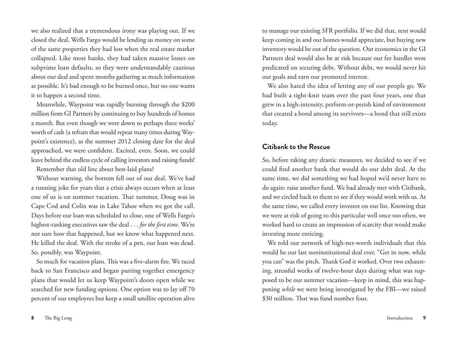we also realized that a tremendous irony was playing out. If we closed the deal, Wells Fargo would be lending us money on some of the same properties they had lost when the real estate market collapsed. Like most banks, they had taken massive losses on subprime loan defaults, so they were understandably cautious about our deal and spent months gathering as much information as possible. It's bad enough to be burned once, but no one wants it to happen a second time.

Meanwhile, Waypoint was rapidly burning through the \$200 million from GI Partners by continuing to buy hundreds of homes a month. But even though we were down to perhaps three weeks' worth of cash (a refrain that would repeat many times during Waypoint's existence), as the summer 2012 closing date for the deal approached, we were confident. Excited, even. Soon, we could leave behind the endless cycle of calling investors and raising funds!

Remember that old line about best-laid plans?

Without warning, the bottom fell out of our deal. We've had a running joke for years that a crisis always occurs when at least one of us is on summer vacation. That summer, Doug was in Cape Cod and Colin was in Lake Tahoe when we got the call. Days before our loan was scheduled to close, one of Wells Fargo's highest-ranking executives saw the deal . . . *for the first time*. We're not sure how that happened, but we know what happened next. He killed the deal. With the stroke of a pen, our loan was dead. So, possibly, was Waypoint.

So much for vacation plans. This was a five-alarm fire. We raced back to San Francisco and began putting together emergency plans that would let us keep Waypoint's doors open while we searched for new funding options. One option was to lay off 70 percent of our employees but keep a small satellite operation alive to manage our existing SFR portfolio. If we did that, rent would keep coming in and our homes would appreciate, but buying new inventory would be out of the question. Our economics in the GI Partners deal would also be at risk because our fee hurdles were predicated on securing debt. Without debt, we would never hit our goals and earn our promoted interest.

We also hated the idea of letting any of our people go. We had built a tight-knit team over the past four years, one that grew in a high-intensity, perform-or-perish kind of environment that created a bond among its survivors—a bond that still exists today.

#### **Citibank to the Rescue**

So, before taking any drastic measures, we decided to see if we could find another bank that would do our debt deal. At the same time, we did something we had hoped we'd never have to do again: raise another fund. We had already met with Citibank, and we circled back to them to see if they would work with us. At the same time, we called every investor on our list. Knowing that we were at risk of going to this particular well once too often, we worked hard to create an impression of scarcity that would make investing more enticing.

We told our network of high-net-worth individuals that this would be our last noninstitutional deal ever. "Get in now, while you can" was the pitch. Thank God it worked. Over two exhausting, stressful weeks of twelve-hour days during what was supposed to be our summer vacation—keep in mind, this was happening *while* we were being investigated by the FBI—we raised \$30 million. That was fund number four.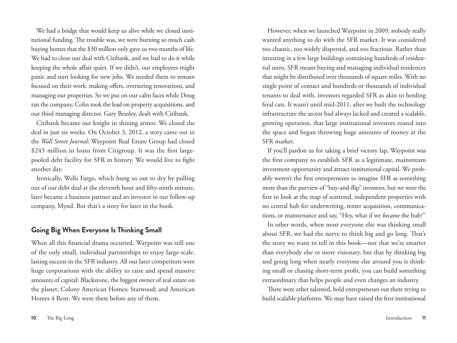We had a bridge that would keep us alive while we closed institutional funding. The trouble was, we were burning so much cash buying homes that the \$30 million only gave us two months of life. We had to close our deal with Citibank, and we had to do it while keeping the whole affair quiet. If we didn't, our employees might panic and start looking for new jobs. We needed them to remain focused on their work: making offers, overseeing renovations, and managing our properties. So we put on our calm faces while Doug ran the company, Colin took the lead on property acquisitions, and our third managing director, Gary Beasley, dealt with Citibank.

Citibank became our knight in shining armor. We closed the deal in just six weeks. On October 3, 2012, a story came out in the *Wall Street Journal*: Waypoint Real Estate Group had closed \$245 million in loans from Citigroup. It was the first largepooled debt facility for SFR in history. We would live to fight another day.

Ironically, Wells Fargo, which hung us out to dry by pulling out of our debt deal at the eleventh hour and fifty-ninth minute, later became a business partner and an investor in our follow-up company, Mynd. But that's a story for later in the book.

#### **Going Big When Everyone Is Thinking Small**

When all this financial drama occurred, Waypoint was still one of the only small, individual partnerships to enjoy large-scale, lasting success in the SFR industry. All our later competitors were huge corporations with the ability to raise and spend massive amounts of capital: Blackstone, the biggest owner of real estate on the planet; Colony American Homes; Starwood; and American Homes 4 Rent. We were there before any of them.

However, when we launched Waypoint in 2009, nobody really wanted anything to do with the SFR market. It was considered too chaotic, too widely dispersed, and too fractious. Rather than investing in a few large buildings containing hundreds of residential units, SFR meant buying and managing individual residences that might be distributed over thousands of square miles. With no single point of contact and hundreds or thousands of individual tenants to deal with, investors regarded SFR as akin to herding feral cats. It wasn't until mid-2011, after we built the technology infrastructure the sector had always lacked and created a scalable, growing operation, that large institutional investors roared into the space and began throwing huge amounts of money at the SFR market.

If you'll pardon us for taking a brief victory lap, Waypoint was the first company to establish SFR as a legitimate, mainstream investment opportunity and attract institutional capital. We probably weren't the first entrepreneurs to imagine SFR as something more than the purview of "buy-and-flip" investors, but we were the first to look at the map of scattered, independent properties with no central hub for underwriting, renter acquisition, communications, or maintenance and say, "Hey, what if we *became* the hub?"

In other words, when most everyone else was thinking small about SFR, we had the nerve to think big and go long. That's the story we want to tell in this book—not that we're smarter than everybody else or more visionary, but that by thinking big and going long when nearly everyone else around you is thinking small or chasing short-term profit, you can build something extraordinary that helps people and even changes an industry.

There were other talented, bold entrepreneurs out there trying to build scalable platforms. We may have raised the first institutional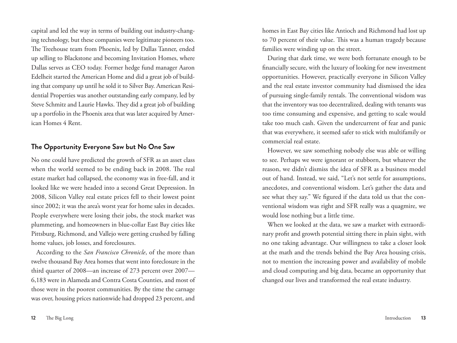capital and led the way in terms of building out industry-changing technology, but these companies were legitimate pioneers too. The Treehouse team from Phoenix, led by Dallas Tanner, ended up selling to Blackstone and becoming Invitation Homes, where Dallas serves as CEO today. Former hedge fund manager Aaron Edelheit started the American Home and did a great job of building that company up until he sold it to Silver Bay. American Residential Properties was another outstanding early company, led by Steve Schmitz and Laurie Hawks. They did a great job of building up a portfolio in the Phoenix area that was later acquired by American Homes 4 Rent.

#### **The Opportunity Everyone Saw but No One Saw**

No one could have predicted the growth of SFR as an asset class when the world seemed to be ending back in 2008. The real estate market had collapsed, the economy was in free-fall, and it looked like we were headed into a second Great Depression. In 2008, Silicon Valley real estate prices fell to their lowest point since 2002; it was the area's worst year for home sales in decades. People everywhere were losing their jobs, the stock market was plummeting, and homeowners in blue-collar East Bay cities like Pittsburg, Richmond, and Vallejo were getting crushed by falling home values, job losses, and foreclosures.

According to the *San Francisco Chronicle*, of the more than twelve thousand Bay Area homes that went into foreclosure in the third quarter of 2008—an increase of 273 percent over 2007— 6,183 were in Alameda and Contra Costa Counties, and most of those were in the poorest communities. By the time the carnage was over, housing prices nationwide had dropped 23 percent, and

homes in East Bay cities like Antioch and Richmond had lost up to 70 percent of their value. This was a human tragedy because families were winding up on the street.

During that dark time, we were both fortunate enough to be financially secure, with the luxury of looking for new investment opportunities. However, practically everyone in Silicon Valley and the real estate investor community had dismissed the idea of pursuing single-family rentals. The conventional wisdom was that the inventory was too decentralized, dealing with tenants was too time consuming and expensive, and getting to scale would take too much cash. Given the undercurrent of fear and panic that was everywhere, it seemed safer to stick with multifamily or commercial real estate.

However, we saw something nobody else was able or willing to see. Perhaps we were ignorant or stubborn, but whatever the reason, we didn't dismiss the idea of SFR as a business model out of hand. Instead, we said, "Let's not settle for assumptions, anecdotes, and conventional wisdom. Let's gather the data and see what they say." We figured if the data told us that the conventional wisdom was right and SFR really was a quagmire, we would lose nothing but a little time.

When we looked at the data, we saw a market with extraordinary profit and growth potential sitting there in plain sight, with no one taking advantage. Our willingness to take a closer look at the math and the trends behind the Bay Area housing crisis, not to mention the increasing power and availability of mobile and cloud computing and big data, became an opportunity that changed our lives and transformed the real estate industry.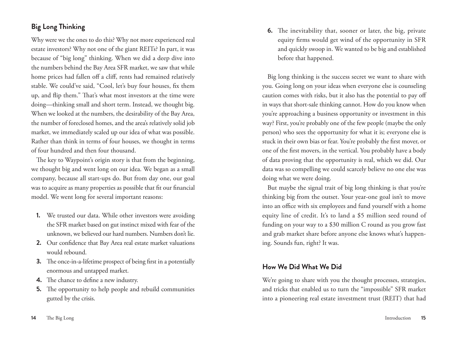## **Big Long Thinking**

Why were we the ones to do this? Why not more experienced real estate investors? Why not one of the giant REITs? In part, it was because of "big long" thinking. When we did a deep dive into the numbers behind the Bay Area SFR market, we saw that while home prices had fallen off a cliff, rents had remained relatively stable. We could've said, "Cool, let's buy four houses, fix them up, and flip them." That's what most investors at the time were doing—thinking small and short term. Instead, we thought big. When we looked at the numbers, the desirability of the Bay Area, the number of foreclosed homes, and the area's relatively solid job market, we immediately scaled up our idea of what was possible. Rather than think in terms of four houses, we thought in terms of four hundred and then four thousand.

The key to Waypoint's origin story is that from the beginning, we thought big and went long on our idea. We began as a small company, because all start-ups do. But from day one, our goal was to acquire as many properties as possible that fit our financial model. We went long for several important reasons:

- **1.** We trusted our data. While other investors were avoiding the SFR market based on gut instinct mixed with fear of the unknown, we believed our hard numbers. Numbers don't lie.
- **2.** Our confidence that Bay Area real estate market valuations would rebound.
- **3.** The once-in-a-lifetime prospect of being first in a potentially enormous and untapped market.
- **4.** The chance to define a new industry.
- **5.** The opportunity to help people and rebuild communities gutted by the crisis.

**6.** The inevitability that, sooner or later, the big, private equity firms would get wind of the opportunity in SFR and quickly swoop in. We wanted to be big and established before that happened.

Big long thinking is the success secret we want to share with you. Going long on your ideas when everyone else is counseling caution comes with risks, but it also has the potential to pay off in ways that short-sale thinking cannot. How do you know when you're approaching a business opportunity or investment in this way? First, you're probably one of the few people (maybe the only person) who sees the opportunity for what it is; everyone else is stuck in their own bias or fear. You're probably the first mover, or one of the first movers, in the vertical. You probably have a body of data proving that the opportunity is real, which we did. Our data was so compelling we could scarcely believe no one else was doing what we were doing.

But maybe the signal trait of big long thinking is that you're thinking big from the outset. Your year-one goal isn't to move into an office with six employees and fund yourself with a home equity line of credit. It's to land a \$5 million seed round of funding on your way to a \$30 million C round as you grow fast and grab market share before anyone else knows what's happening. Sounds fun, right? It was.

#### **How We Did What We Did**

We're going to share with you the thought processes, strategies, and tricks that enabled us to turn the "impossible" SFR market into a pioneering real estate investment trust (REIT) that had